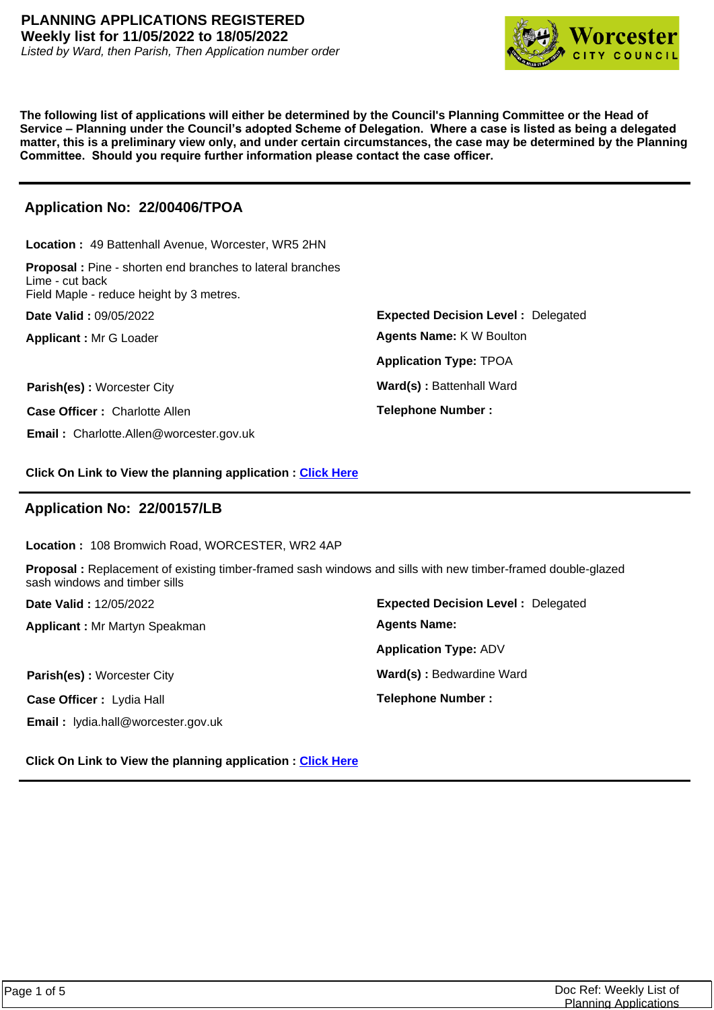

**The following list of applications will either be determined by the Council's Planning Committee or the Head of Service – Planning under the Council's adopted Scheme of Delegation. Where a case is listed as being a delegated matter, this is a preliminary view only, and under certain circumstances, the case may be determined by the Planning Committee. Should you require further information please contact the case officer.**

# **Application No: 22/00406/TPOA**

**Location :** 49 Battenhall Avenue, Worcester, WR5 2HN **Proposal :** Pine - shorten end branches to lateral branches Lime - cut back

Field Maple - reduce height by 3 metres.

**Date Valid :** 09/05/2022

**Applicant :** Mr G Loader

**Parish(es) :** Worcester City **Ward(s) : Battenhall Ward** 

**Case Officer :** Charlotte Allen

**Email :** Charlotte.Allen@worcester.gov.uk

**Expected Decision Level :** Delegated **Telephone Number : Application Type:** TPOA **Agents Name:** K W Boulton

**Click On Link to View the planning application : [Click Here](https://plan.worcester.gov.uk/Planning/Display/22/00406/TPOA)**

# **Application No: 22/00157/LB**

**Location :** 108 Bromwich Road, WORCESTER, WR2 4AP

**Proposal :** Replacement of existing timber-framed sash windows and sills with new timber-framed double-glazed sash windows and timber sills

**Date Valid :** 12/05/2022

**Applicant :** Mr Martyn Speakman

**Parish(es)** : Worcester City **Ward(s)** : Bedwardine Ward

**Case Officer :** Lydia Hall

**Email :** lydia.hall@worcester.gov.uk

**Expected Decision Level :** Delegated **Telephone Number : Application Type:** ADV **Agents Name:**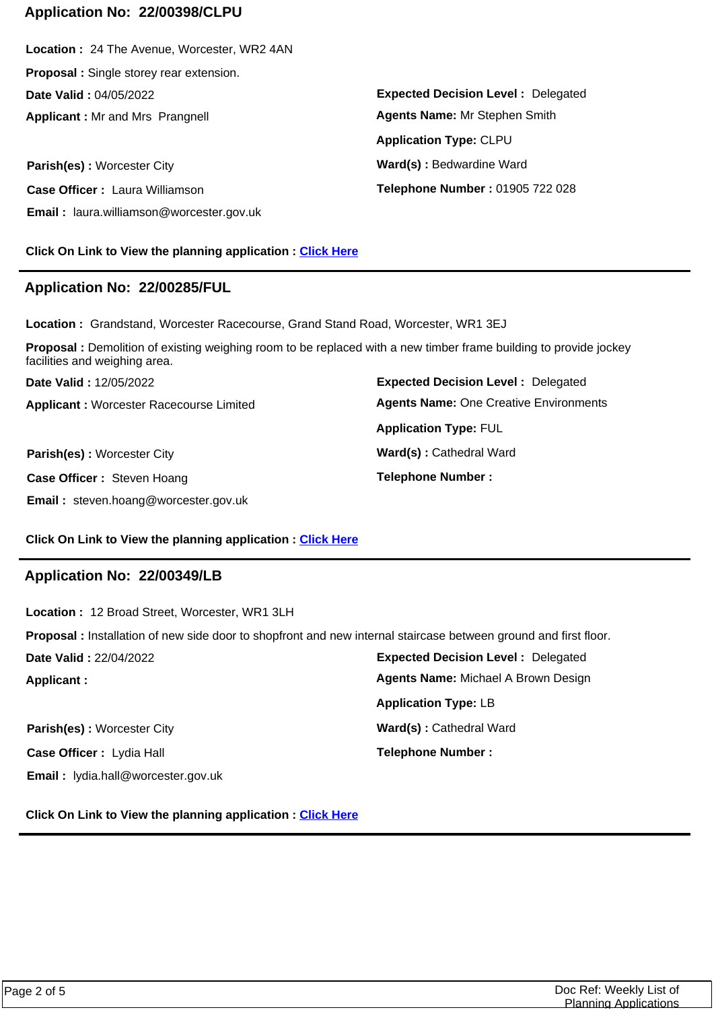### **Application No: 22/00398/CLPU**

**Applicant :** Mr and Mrs Prangnell **Date Valid :** 04/05/2022 **Location :** 24 The Avenue, Worcester, WR2 4AN **Proposal :** Single storey rear extension.

**Parish(es)** : Worcester City **Ward(s)** : Bedwardine Ward **Case Officer :** Laura Williamson **Email :** laura.williamson@worcester.gov.uk

**Click On Link to View the planning application : [Click Here](https://plan.worcester.gov.uk/Planning/Display/22/00398/CLPU)**

### **Application No: 22/00285/FUL**

**Location :** Grandstand, Worcester Racecourse, Grand Stand Road, Worcester, WR1 3EJ

**Proposal :** Demolition of existing weighing room to be replaced with a new timber frame building to provide jockey facilities and weighing area.

**Applicant :** Worcester Racecourse Limited **Date Valid :** 12/05/2022

**Parish(es) :** Worcester City **Ward(s)** : Cathedral Ward **Case Officer :** Steven Hoang **Email :** steven.hoang@worcester.gov.uk

**Expected Decision Level :** Delegated **Telephone Number : Application Type:** FUL **Agents Name:** One Creative Environments

**Expected Decision Level :** Delegated

**Agents Name:** Mr Stephen Smith

**Telephone Number :** 01905 722 028

**Application Type:** CLPU

#### **Click On Link to View the planning application : [Click Here](https://plan.worcester.gov.uk/Planning/Display/22/00285/FUL)**

### **Application No: 22/00349/LB**

**Expected Decision Level :** Delegated **Applicant : Date Valid :** 22/04/2022 **Location :** 12 Broad Street, Worcester, WR1 3LH **Proposal :** Installation of new side door to shopfront and new internal staircase between ground and first floor. **Application Type:** LB **Agents Name:** Michael A Brown Design

**Case Officer :** Lydia Hall **Email :** lydia.hall@worcester.gov.uk

**Parish(es) :** Worcester City **Ward(s) : Cathedral Ward Telephone Number :**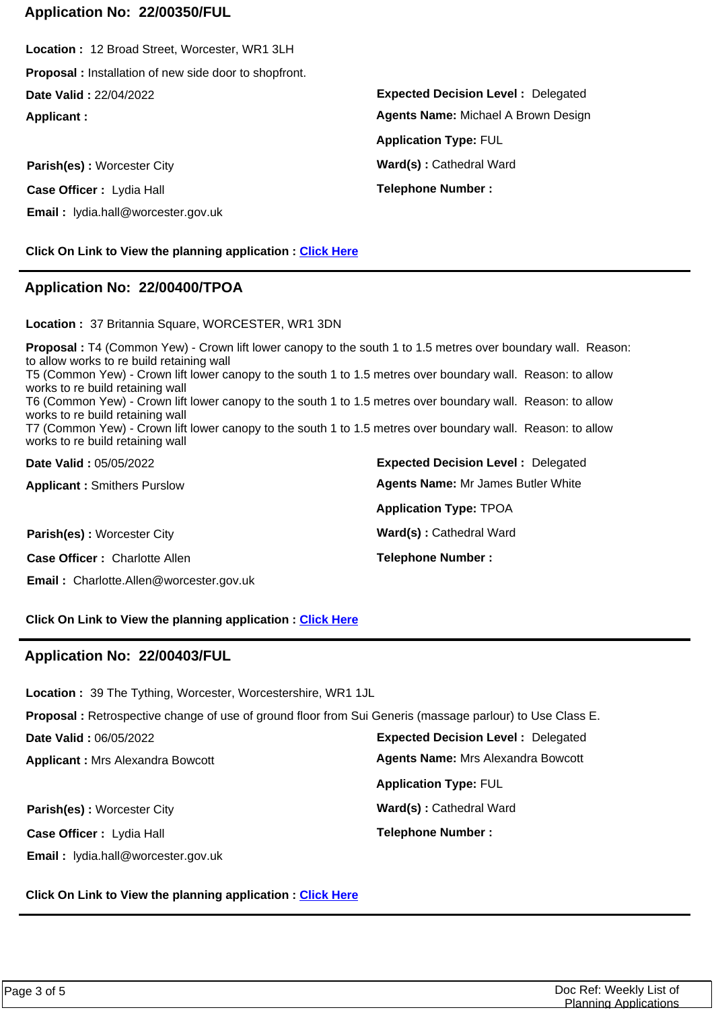### **Application No: 22/00350/FUL**

**Applicant : Date Valid :** 22/04/2022 **Location :** 12 Broad Street, Worcester, WR1 3LH **Proposal :** Installation of new side door to shopfront.

**Parish(es)** : Worcester City **Ward(s)** : Cathedral Ward **Case Officer :** Lydia Hall **Email :** lydia.hall@worcester.gov.uk

**Click On Link to View the planning application : [Click Here](https://plan.worcester.gov.uk/Planning/Display/22/00350/FUL)**

### **Application No: 22/00400/TPOA**

**Location :** 37 Britannia Square, WORCESTER, WR1 3DN

**Expected Decision Level :** Delegated **Date Valid :** 05/05/2022 **Proposal :** T4 (Common Yew) - Crown lift lower canopy to the south 1 to 1.5 metres over boundary wall. Reason: to allow works to re build retaining wall T5 (Common Yew) - Crown lift lower canopy to the south 1 to 1.5 metres over boundary wall. Reason: to allow works to re build retaining wall T6 (Common Yew) - Crown lift lower canopy to the south 1 to 1.5 metres over boundary wall. Reason: to allow works to re build retaining wall T7 (Common Yew) - Crown lift lower canopy to the south 1 to 1.5 metres over boundary wall. Reason: to allow works to re build retaining wall

| <b>PUNY TUNY :</b> 00/00/2022                  | $\blacksquare$                            |
|------------------------------------------------|-------------------------------------------|
| <b>Applicant: Smithers Purslow</b>             | <b>Agents Name: Mr James Butler White</b> |
|                                                | <b>Application Type: TPOA</b>             |
| Parish(es): Worcester City                     | Ward(s): Cathedral Ward                   |
| <b>Case Officer: Charlotte Allen</b>           | <b>Telephone Number:</b>                  |
| <b>Email:</b> Charlotte.Allen@worcester.gov.uk |                                           |

**Click On Link to View the planning application : [Click Here](https://plan.worcester.gov.uk/Planning/Display/22/00400/TPOA)**

### **Application No: 22/00403/FUL**

**Location :** 39 The Tything, Worcester, Worcestershire, WR1 1JL

**Proposal :** Retrospective change of use of ground floor from Sui Generis (massage parlour) to Use Class E.

**Date Valid :** 06/05/2022

**Applicant :** Mrs Alexandra Bowcott

**Parish(es) :** Worcester City **Ward(s) : Cathedral Ward Case Officer :** Lydia Hall **Email :** lydia.hall@worcester.gov.uk

**Expected Decision Level :** Delegated **Telephone Number : Application Type:** FUL **Agents Name:** Mrs Alexandra Bowcott

**Click On Link to View the planning application : [Click Here](https://plan.worcester.gov.uk/Planning/Display/22/00403/FUL)**

**Expected Decision Level :** Delegated **Telephone Number : Application Type:** FUL **Agents Name:** Michael A Brown Design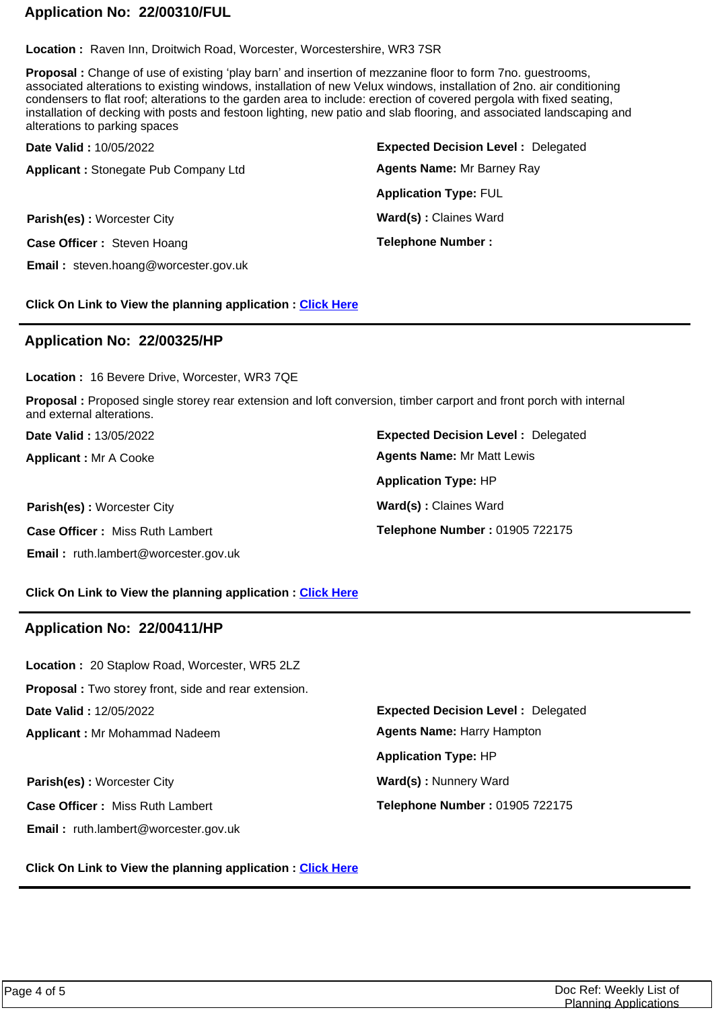# **Application No: 22/00310/FUL**

**Location :** Raven Inn, Droitwich Road, Worcester, Worcestershire, WR3 7SR

**Proposal :** Change of use of existing 'play barn' and insertion of mezzanine floor to form 7no. guestrooms, associated alterations to existing windows, installation of new Velux windows, installation of 2no. air conditioning condensers to flat roof; alterations to the garden area to include: erection of covered pergola with fixed seating, installation of decking with posts and festoon lighting, new patio and slab flooring, and associated landscaping and alterations to parking spaces

| Date Valid: 10/05/2022                      | <b>Expected Decision Level: Delegated</b> |
|---------------------------------------------|-------------------------------------------|
| <b>Applicant: Stonegate Pub Company Ltd</b> | <b>Agents Name: Mr Barney Ray</b>         |
|                                             | <b>Application Type: FUL</b>              |
| <b>Parish(es): Worcester City</b>           | Ward(s): Claines Ward                     |
| Case Officer: Steven Hoang                  | <b>Telephone Number:</b>                  |
| <b>Email:</b> steven.hoang@worcester.gov.uk |                                           |

**Click On Link to View the planning application : [Click Here](https://plan.worcester.gov.uk/Planning/Display/22/00310/FUL)**

### **Application No: 22/00325/HP**

**Location :** 16 Bevere Drive, Worcester, WR3 7QE

**Proposal :** Proposed single storey rear extension and loft conversion, timber carport and front porch with internal and external alterations.

**Date Valid :** 13/05/2022

**Applicant :** Mr A Cooke

**Parish(es) :** Worcester City **Ward(s) : Claines Ward Case Officer :** Miss Ruth Lambert **Email :** ruth.lambert@worcester.gov.uk

**Expected Decision Level :** Delegated **Telephone Number :** 01905 722175 **Application Type:** HP **Agents Name:** Mr Matt Lewis

**Click On Link to View the planning application : [Click Here](https://plan.worcester.gov.uk/Planning/Display/22/00325/HP)**

### **Application No: 22/00411/HP**

**Applicant :** Mr Mohammad Nadeem **Date Valid :** 12/05/2022 **Location :** 20 Staplow Road, Worcester, WR5 2LZ **Proposal :** Two storey front, side and rear extension.

**Parish(es) :** Worcester City **Ward(s) Ward(s) Ward(s) Ward(s) Ward(s) Ward(s) Ward(s) Ward(s) Ward(s) Ward(s) Ward(s) Ward(s) Ward(s) Ward(s) Ward(s) Ward(s) Ward(s) Ward(s) Ward(s) W Case Officer :** Miss Ruth Lambert **Email :** ruth.lambert@worcester.gov.uk

**Expected Decision Level :** Delegated **Telephone Number :** 01905 722175 **Application Type:** HP **Agents Name:** Harry Hampton